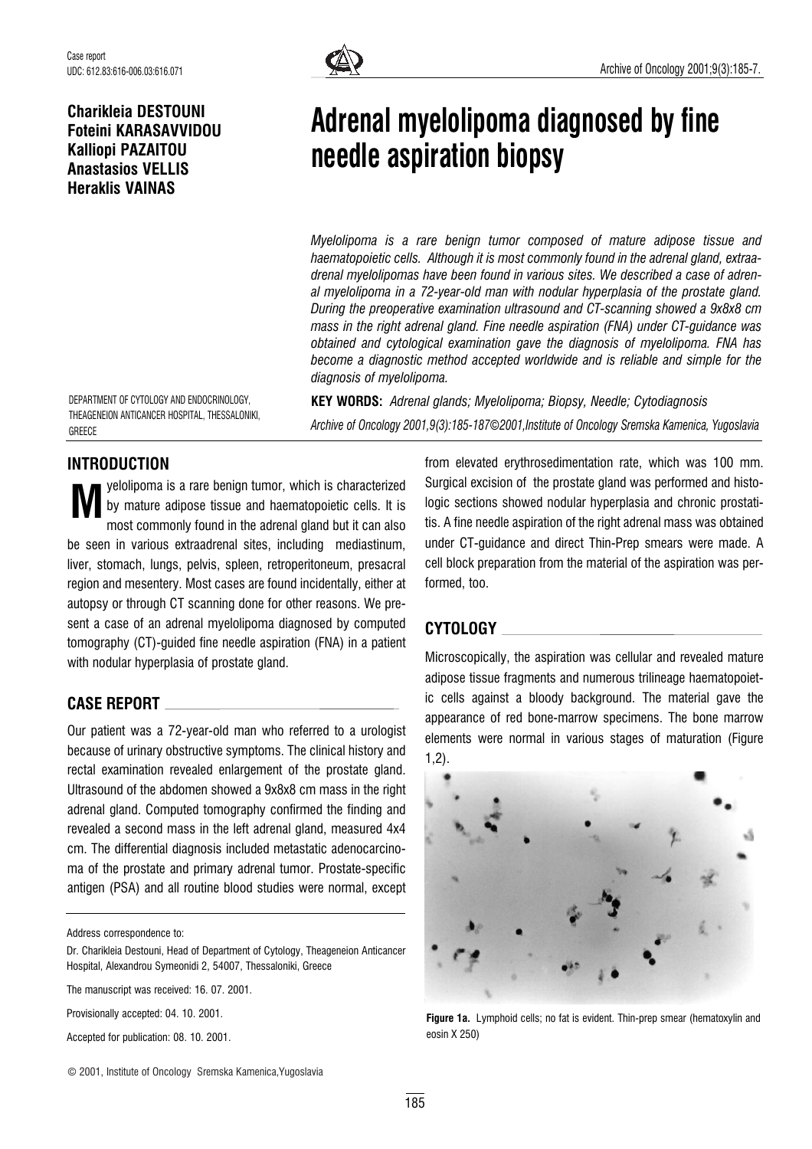### Charikleia DESTOUNI Foteini KARASAVVIDOU Kalliopi PAZAITOU Anastasios VELLIS Heraklis VAINAS



# Adrenal myelolipoma diagnosed by fine needle aspiration biopsy

Myelolipoma is a rare benign tumor composed of mature adipose tissue and haematopoietic cells. Although it is most commonly found in the adrenal gland, extraadrenal myelolipomas have been found in various sites. We described a case of adrenal myelolipoma in a 72-year-old man with nodular hyperplasia of the prostate gland. During the preoperative examination ultrasound and CT-scanning showed a 9x8x8 cm mass in the right adrenal gland. Fine needle aspiration (FNA) under CT-guidance was obtained and cytological examination gave the diagnosis of myelolipoma. FNA has become a diagnostic method accepted worldwide and is reliable and simple for the diagnosis of myelolipoma.

DEPARTMENT OF CYTOLOGY AND ENDOCRINOLOGY, THEAGENEION ANTICANCER HOSPITAL, THESSALONIKI, **GREECE** 

KEY WORDS: Adrenal glands; Myelolipoma; Biopsy, Needle; Cytodiagnosis Archive of Oncology 2001,9(3):185-187*©*2001,Institute of Oncology Sremska Kamenica, Yugoslavia

## INTRODUCTION

yelolipoma is a rare benign tumor, which is characterized by mature adipose tissue and haematopoietic cells. It is most commonly found in the adrenal gland but it can also be seen in various extraadrenal sites, including mediastinum, liver, stomach, lungs, pelvis, spleen, retroperitoneum, presacral region and mesentery. Most cases are found incidentally, either at autopsy or through CT scanning done for other reasons. We present a case of an adrenal myelolipoma diagnosed by computed tomography (CT)-guided fine needle aspiration (FNA) in a patient with nodular hyperplasia of prostate gland. M

#### CASE REPORT

Our patient was a 72-year-old man who referred to a urologist because of urinary obstructive symptoms. The clinical history and rectal examination revealed enlargement of the prostate gland. Ultrasound of the abdomen showed a 9x8x8 cm mass in the right adrenal gland. Computed tomography confirmed the finding and revealed a second mass in the left adrenal gland, measured 4x4 cm. The differential diagnosis included metastatic adenocarcinoma of the prostate and primary adrenal tumor. Prostate-specific antigen (PSA) and all routine blood studies were normal, except

Address correspondence to:

Provisionally accepted: 04. 10. 2001.

Accepted for publication: 08. 10. 2001.

from elevated erythrosedimentation rate, which was 100 mm. Surgical excision of the prostate gland was performed and histologic sections showed nodular hyperplasia and chronic prostatitis. A fine needle aspiration of the right adrenal mass was obtained under CT-guidance and direct Thin-Prep smears were made. A cell block preparation from the material of the aspiration was performed, too.

#### CYTOLOGY

Microscopically, the aspiration was cellular and revealed mature adipose tissue fragments and numerous trilineage haematopoietic cells against a bloody background. The material gave the appearance of red bone-marrow specimens. The bone marrow elements were normal in various stages of maturation (Figure 1,2).



Figure 1a. Lymphoid cells; no fat is evident. Thin-prep smear (hematoxylin and eosin X 250)

Dr. Charikleia Destouni, Head of Department of Cytology, Theageneion Anticancer Hospital, Alexandrou Symeonidi 2, 54007, Thessaloniki, Greece

The manuscript was received: 16. 07. 2001.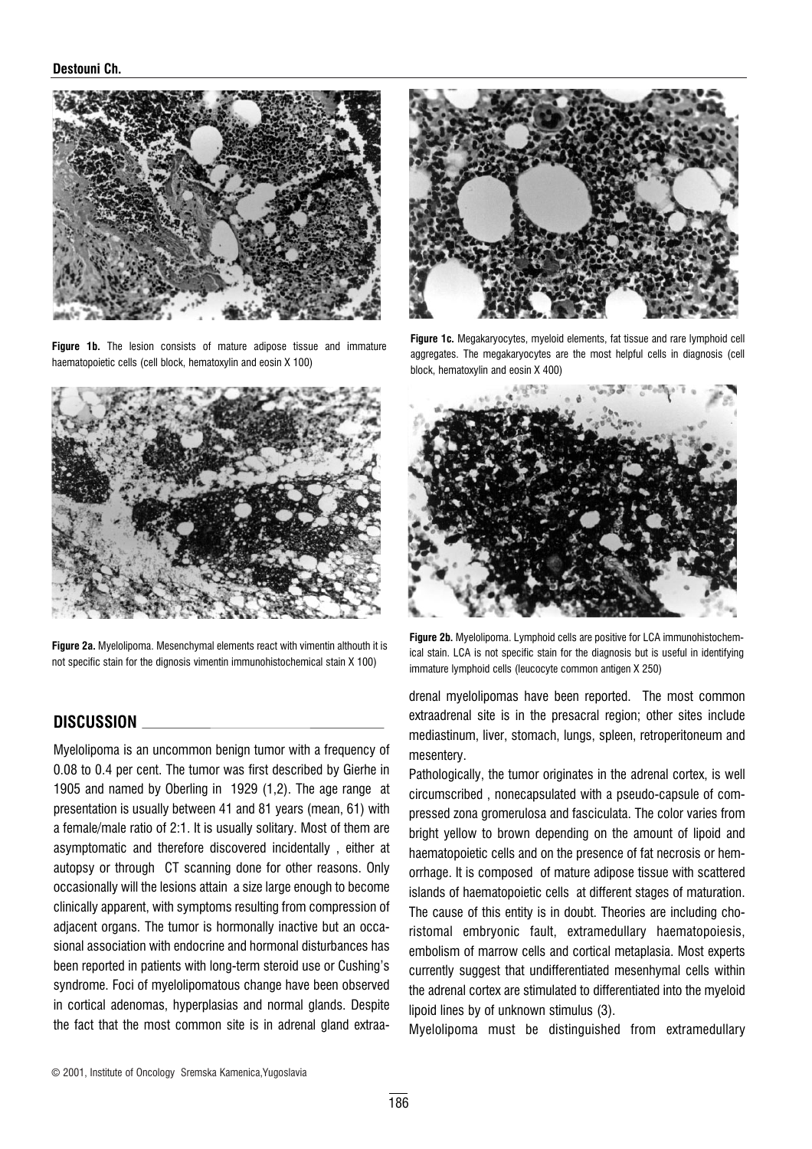#### Destouni Ch.



Figure 1b. The lesion consists of mature adipose tissue and immature haematopoietic cells (cell block, hematoxylin and eosin X 100)



Figure 2a. Myelolipoma. Mesenchymal elements react with vimentin althouth it is not specific stain for the dignosis vimentin immunohistochemical stain X 100)

#### DISCUSSION

Myelolipoma is an uncommon benign tumor with a frequency of 0.08 to 0.4 per cent. The tumor was first described by Gierhe in 1905 and named by Oberling in 1929 (1,2). The age range at presentation is usually between 41 and 81 years (mean, 61) with a female/male ratio of 2:1. It is usually solitary. Most of them are asymptomatic and therefore discovered incidentally , either at autopsy or through CT scanning done for other reasons. Only occasionally will the lesions attain a size large enough to become clinically apparent, with symptoms resulting from compression of adjacent organs. The tumor is hormonally inactive but an occasional association with endocrine and hormonal disturbances has been reported in patients with long-term steroid use or Cushing's syndrome. Foci of myelolipomatous change have been observed in cortical adenomas, hyperplasias and normal glands. Despite the fact that the most common site is in adrenal gland extraa-



Figure 1c. Megakaryocytes, myeloid elements, fat tissue and rare lymphoid cell aggregates. The megakaryocytes are the most helpful cells in diagnosis (cell block, hematoxylin and eosin X 400)



Figure 2b. Myelolipoma. Lymphoid cells are positive for LCA immunohistochemical stain. LCA is not specific stain for the diagnosis but is useful in identifying immature lymphoid cells (leucocyte common antigen X 250)

drenal myelolipomas have been reported. The most common extraadrenal site is in the presacral region; other sites include mediastinum, liver, stomach, lungs, spleen, retroperitoneum and mesentery.

Pathologically, the tumor originates in the adrenal cortex, is well circumscribed , nonecapsulated with a pseudo-capsule of compressed zona gromerulosa and fasciculata. The color varies from bright yellow to brown depending on the amount of lipoid and haematopoietic cells and on the presence of fat necrosis or hemorrhage. It is composed of mature adipose tissue with scattered islands of haematopoietic cells at different stages of maturation. The cause of this entity is in doubt. Theories are including choristomal embryonic fault, extramedullary haematopoiesis, embolism of marrow cells and cortical metaplasia. Most experts currently suggest that undifferentiated mesenhymal cells within the adrenal cortex are stimulated to differentiated into the myeloid lipoid lines by of unknown stimulus (3).

Myelolipoma must be distinguished from extramedullary